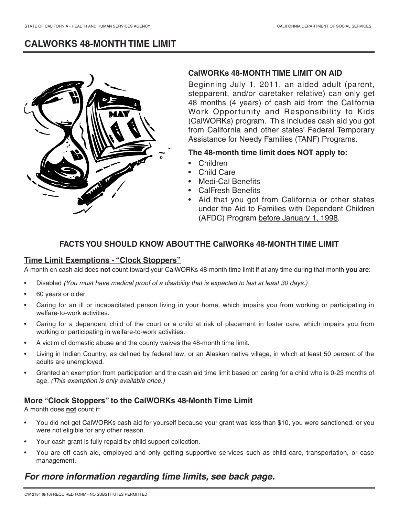# **CALWORKS 48-MONTH TIME LIMIT**



### **CalWORKs 48-MONTH TIME LIMIT ON AID**

 Beginning July 1, 2011, an aided adult (parent, stepparent, and/or caretaker relative) can only get 48 months (4 years) of cash aid from the California Work Opportunity and Responsibility to Kids (CalWORKs) program. This includes cash aid you got from California and other states' Federal Temporary Assistance for Needy Families (TANF) Programs.

#### **The 48-month time limit does NOT apply to:**

- Children
- Child Care
- Medi-Cal Benefits
- CalFresh Benefits
- • Aid that you got from California or other states under the Aid to Families with Dependent Children (AFDC) Program before January 1, 1998.

## **FACTSYOU SHOULD KNOW ABOUT THE CalWORKs 48-MONTH TIME LIMIT**

### **Time Limit Exemptions - "Clock Stoppers"**

A month on cash aid does **not** count toward your CalWORKs 48-month time limit if at any time during that month **you are**:

- Disabled (You must have medical proof of a disability that is expected to last at least 30 days.)
- 60 years or older.
- • Caring for an ill or incapacitated person living in your home, which impairs you from working or participating in welfare-to-work activities.
- • Caring for a dependent child of the court or a child at risk of placement in foster care, which impairs you from working or participating in welfare-to-work activities.
- A victim of domestic abuse and the county waives the 48-month time limit.
- • Living in Indian Country, as defined by federal law, or an Alaskan native village, in which at least 50 percent of the adults are unemployed.
- • Granted an exemption from participation and the cash aid time limit based on caring for a child who is 0-23 months of  age. *(This exemption is only available once.)*

### **More "Clock Stoppers" to the CalWORKs 48-Month Time Limit**

A month does **not** count if:

- • You did not get CalWORKs cash aid for yourself because your grant was less than \$10, you were sanctioned, or you were not eligible for any other reason.
- Your cash grant is fully repaid by child support collection.
- • You are off cash aid, employed and only getting supportive services such as child care, transportation, or case management.

# *For more information regarding time limits, see back page.*